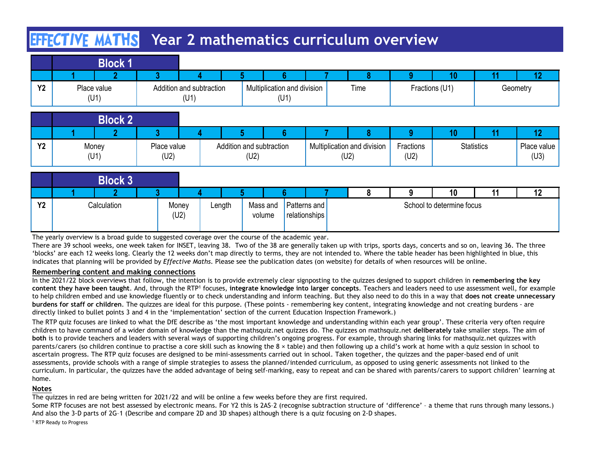# **HIFCTIVE MATHS** Year 2 mathematics curriculum overview

|           |                          |   |                                  |                                     | <b>EFFCTIVE MATHS</b> Year 2 mathematics curriculum overview |   |                      |                 |                |
|-----------|--------------------------|---|----------------------------------|-------------------------------------|--------------------------------------------------------------|---|----------------------|-----------------|----------------|
|           | <b>Block 1</b>           |   |                                  |                                     |                                                              |   |                      |                 |                |
| <b>Y2</b> | 2<br>Place value<br>(U1) | ್ | Addition and subtraction<br>(U1) | Multiplication and division<br>(U1) | Time                                                         | O | 10<br>Fractions (U1) | $\overline{11}$ | 12<br>Geometry |
|           | <b>Block 2</b>           |   |                                  |                                     |                                                              |   |                      |                 |                |

|           | <b>EFFCTIVE MATHS</b> Year 2 mathematics curriculum overview |                     |                                  |                                  |                                     |                                     |                   |                 |                   |                     |
|-----------|--------------------------------------------------------------|---------------------|----------------------------------|----------------------------------|-------------------------------------|-------------------------------------|-------------------|-----------------|-------------------|---------------------|
|           | <b>Block 1</b>                                               |                     |                                  |                                  |                                     |                                     |                   |                 |                   |                     |
|           |                                                              | 3                   |                                  |                                  |                                     |                                     | 9.                | 10 <sub>1</sub> | 11                | 12                  |
| <b>Y2</b> | Place value<br>(U1)                                          |                     | Addition and subtraction<br>(U1) |                                  | Multiplication and division<br>(U1) | Time                                |                   | Fractions (U1)  |                   | Geometry            |
|           | <b>Block 2</b>                                               |                     |                                  |                                  |                                     |                                     |                   |                 |                   |                     |
|           |                                                              | 3                   |                                  |                                  |                                     |                                     | a                 | 10 <sup>°</sup> | 11                | 12                  |
| <b>Y2</b> | Money<br>(U1)                                                | Place value<br>(U2) |                                  | Addition and subtraction<br>(U2) |                                     | Multiplication and division<br>(U2) | Fractions<br>(U2) |                 | <b>Statistics</b> | Place value<br>(U3) |
|           | <b>Block 3</b>                                               |                     |                                  |                                  |                                     |                                     |                   |                 |                   |                     |
|           |                                                              | $\mathbf{P}$        |                                  |                                  |                                     | $\Omega$                            | Q                 | 10              | 11                | 12                  |

|                | EFFECTIVE MATHS                                                                                                                                                                                                                                                                                                                                                                                                                                                                                                                                                                                                                                                                                                 |                                  |        |                                  |                                     | Year 2 mathematics curriculum overview |                   |                           |                   |                     |
|----------------|-----------------------------------------------------------------------------------------------------------------------------------------------------------------------------------------------------------------------------------------------------------------------------------------------------------------------------------------------------------------------------------------------------------------------------------------------------------------------------------------------------------------------------------------------------------------------------------------------------------------------------------------------------------------------------------------------------------------|----------------------------------|--------|----------------------------------|-------------------------------------|----------------------------------------|-------------------|---------------------------|-------------------|---------------------|
|                | <b>Block 1</b>                                                                                                                                                                                                                                                                                                                                                                                                                                                                                                                                                                                                                                                                                                  | -2                               |        |                                  | ĥ.                                  | 8                                      | 9.                | 10                        | 11                | 12 <sub>2</sub>     |
| Y <sub>2</sub> | Place value<br>(U1)                                                                                                                                                                                                                                                                                                                                                                                                                                                                                                                                                                                                                                                                                             | Addition and subtraction<br>(U1) |        |                                  | Multiplication and division<br>(U1) | Time                                   |                   | Fractions (U1)            |                   | Geometry            |
|                | <b>Block 2</b>                                                                                                                                                                                                                                                                                                                                                                                                                                                                                                                                                                                                                                                                                                  |                                  |        |                                  |                                     |                                        |                   |                           |                   |                     |
|                | റ                                                                                                                                                                                                                                                                                                                                                                                                                                                                                                                                                                                                                                                                                                               | 3                                |        |                                  | ĥ                                   | 8                                      | 9                 | 10 <sup>°</sup>           | 11                | 12 <sup>2</sup>     |
| <b>Y2</b>      | Money<br>(U1)                                                                                                                                                                                                                                                                                                                                                                                                                                                                                                                                                                                                                                                                                                   | Place value<br>(U2)              |        | Addition and subtraction<br>(U2) |                                     | Multiplication and division<br>(U2)    | Fractions<br>(U2) |                           | <b>Statistics</b> | Place value<br>(U3) |
|                | <b>Block 3</b>                                                                                                                                                                                                                                                                                                                                                                                                                                                                                                                                                                                                                                                                                                  |                                  |        |                                  |                                     |                                        |                   |                           |                   |                     |
|                |                                                                                                                                                                                                                                                                                                                                                                                                                                                                                                                                                                                                                                                                                                                 | 3                                |        |                                  |                                     | 8                                      | 9                 | 10                        | 11                | 12                  |
| Y <sub>2</sub> | Calculation                                                                                                                                                                                                                                                                                                                                                                                                                                                                                                                                                                                                                                                                                                     | Money<br>(U2)                    | Length | Mass and<br>volume               | Patterns and<br>relationships       |                                        |                   | School to determine focus |                   |                     |
|                | The yearly overview is a broad guide to suggested coverage over the course of the academic year.<br>There are 39 school weeks, one week taken for INSET, leaving 38. Two of the 38 are generally taken up with trips, sports days, concerts and so on, leaving 36. The three<br>'blocks' are each 12 weeks long. Clearly the 12 weeks don't map directly to terms, they are not intended to. Where the table header has been highlighted in blue, this<br>indicates that planning will be provided by Effective Maths. Please see the publication dates (on website) for details of when resources will be online.                                                                                              |                                  |        |                                  |                                     |                                        |                   |                           |                   |                     |
|                | Remembering content and making connections                                                                                                                                                                                                                                                                                                                                                                                                                                                                                                                                                                                                                                                                      |                                  |        |                                  |                                     |                                        |                   |                           |                   |                     |
|                | In the 2021/22 block overviews that follow, the intention is to provide extremely clear signposting to the quizzes designed to support children in remembering the key<br>content they have been taught. And, through the RTP <sup>1</sup> focuses, integrate knowledge into larger concepts. Teachers and leaders need to use assessment well, for example<br>to help children embed and use knowledge fluently or to check understanding and inform teaching. But they also need to do this in a way that does not create unnecessary<br>burdens for staff or children. The quizzes are ideal for this purpose. (These points - remembering key content, integrating knowledge and not creating burdens - are |                                  |        |                                  |                                     |                                        |                   |                           |                   |                     |
|                | directly linked to bullet points 3 and 4 in the 'implementation' section of the current Education Inspection Framework.)                                                                                                                                                                                                                                                                                                                                                                                                                                                                                                                                                                                        |                                  |        |                                  |                                     |                                        |                   |                           |                   |                     |
|                | The RTP quiz focuses are linked to what the DfE describe as 'the most important knowledge and understanding within each year group'. These criteria very often require<br>children to have command of a wider domain of knowledge than the mathsquiz.net quizzes do. The quizzes on mathsquiz.net deliberately take smaller steps. The aim of<br>both is to provide teachers and leaders with several ways of supporting children's ongoing progress. For example, through sharing links for mathsquiz.net quizzes with<br>parents/carers (so children continue to practise a core skill such as knowing the 8 x table) and then following up a child's work at home with a quiz session in school to           |                                  |        |                                  |                                     |                                        |                   |                           |                   |                     |

## Remembering content and making connections

The RTP quiz focuses are linked to what the DfE describe as 'the most important knowledge and understanding within each year group'. These criteria very often require children to have command of a wider domain of knowledge than the mathsquiz.net quizzes do. The quizzes on mathsquiz.net deliberately take smaller steps. The aim of both is to provide teachers and leaders with several ways of supporting children's ongoing progress. For example, through sharing links for mathsquiz.net quizzes with parents/carers (so children continue to practise a core skill such as knowing the 8 × table) and then following up a child's work at home with a quiz session in school to ascertain progress. The RTP quiz focuses are designed to be mini-assessments carried out in school. Taken together, the quizzes and the paper-based end of unit **Block 3**<br>
Year Calculation Money Length Mass and Patterns and Patterns and School to determine focus<br>
The yearly overview is a broad guide to suggested coverage over the course of the academic year.<br>
The yearly overview i curriculum. In particular, the quizzes have the added advantage of being self-marking, easy to repeat and can be shared with parents/carers to support children' learning at home. The yearly overview is a broad guide subsested coverage over the course of the academic year.<br>There are 39 school weeks, one week taken for HSET, is avoid of the 38 are generally taken up with trips, sports days, concerts

## Notes

The quizzes in red are being written for 2021/22 and will be online a few weeks before they are first required.

And also the 3-D parts of 2G–1 (Describe and compare 2D and 3D shapes) although there is a quiz focusing on 2-D shapes.

<sup>1</sup> RTP Ready to Progress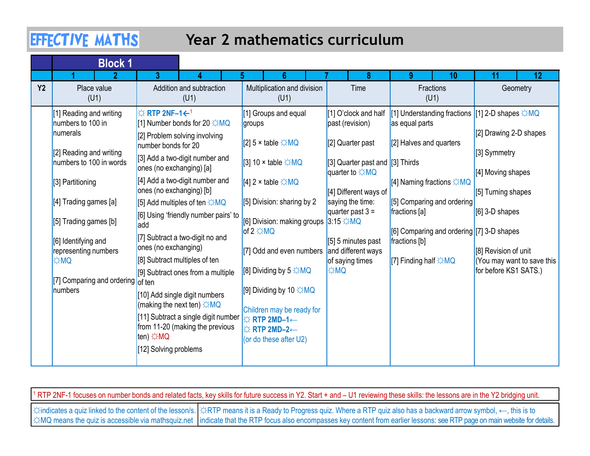## Year 2 mathematics curriculum

|            | <b>EFFECTIVE MATHS</b><br>Year 2 mathematics curriculum                                                                                                                                                                                                                             |                                                                                                                                                                                                                                                                                                                                                                                                                                                                                                                                                                                                                                                                                        |                                                                                                                                                                                                                                                                                                                                                                                                                                                                                          |                                                                                                                                                                                                                                                    |                                                                                                                                                                                                                                                            |                                                                                                                                                                                                                    |  |  |  |  |  |
|------------|-------------------------------------------------------------------------------------------------------------------------------------------------------------------------------------------------------------------------------------------------------------------------------------|----------------------------------------------------------------------------------------------------------------------------------------------------------------------------------------------------------------------------------------------------------------------------------------------------------------------------------------------------------------------------------------------------------------------------------------------------------------------------------------------------------------------------------------------------------------------------------------------------------------------------------------------------------------------------------------|------------------------------------------------------------------------------------------------------------------------------------------------------------------------------------------------------------------------------------------------------------------------------------------------------------------------------------------------------------------------------------------------------------------------------------------------------------------------------------------|----------------------------------------------------------------------------------------------------------------------------------------------------------------------------------------------------------------------------------------------------|------------------------------------------------------------------------------------------------------------------------------------------------------------------------------------------------------------------------------------------------------------|--------------------------------------------------------------------------------------------------------------------------------------------------------------------------------------------------------------------|--|--|--|--|--|
|            | <b>Block 1</b>                                                                                                                                                                                                                                                                      |                                                                                                                                                                                                                                                                                                                                                                                                                                                                                                                                                                                                                                                                                        |                                                                                                                                                                                                                                                                                                                                                                                                                                                                                          |                                                                                                                                                                                                                                                    |                                                                                                                                                                                                                                                            |                                                                                                                                                                                                                    |  |  |  |  |  |
| <b>Y2</b>  | Place value<br>(U1)                                                                                                                                                                                                                                                                 | 3.<br>Addition and subtraction<br>(U1)                                                                                                                                                                                                                                                                                                                                                                                                                                                                                                                                                                                                                                                 | Multiplication and division<br>(U1)                                                                                                                                                                                                                                                                                                                                                                                                                                                      | Time                                                                                                                                                                                                                                               | $\mathbf{Q}$<br>10<br>Fractions<br>(U1)                                                                                                                                                                                                                    | 11<br>12<br>Geometry                                                                                                                                                                                               |  |  |  |  |  |
| <b>OMC</b> | [1] Reading and writing<br>numbers to 100 in<br>numerals<br>[2] Reading and writing<br>numbers to 100 in words<br>[3] Partitioning<br>[4] Trading games [a]<br>[5] Trading games [b]<br>[6] Identifying and<br>representing numbers<br>[7] Comparing and ordering of ten<br>numbers | $\Leftrightarrow$ RTP 2NF-1 $\leftarrow$ <sup>1</sup><br>[1] Number bonds for 20 ☆MQ<br>[2] Problem solving involving<br>number bonds for 20<br>[3] Add a two-digit number and<br>ones (no exchanging) [a]<br>[4] Add a two-digit number and<br>ones (no exchanging) [b]<br>[5] Add multiples of ten ☆MQ<br>[6] Using 'friendly number pairs' to $\vert$<br>ladd<br>[7] Subtract a two-digit no and<br>ones (no exchanging)<br>[8] Subtract multiples of ten<br>[9] Subtract ones from a multiple<br>[10] Add single digit numbers<br>(making the next ten) $\sharp$ MQ<br>[11] Subtract a single digit number<br>from 11-20 (making the previous<br>ten) ☆MQ<br>[12] Solving problems | [1] Groups and equal<br>groups<br>[2] 5 x table $\Diamond MQ$<br>[3] 10 $\times$ table $\div$ MQ<br>[4] 2 x table $\Leftrightarrow$ MQ<br>[5] Division: sharing by 2<br>[6] Division: making groups 3:15 ☆MQ<br>$of 2 \nleftrightarrowth Q$<br>[7] Odd and even numbers and different ways<br>[8] Dividing by 5 $\leftrightarrow$ MQ<br>[9] Dividing by 10 ☆MQ<br>Children may be ready for<br><b>☆ RTP 2MD-1←</b><br>$\Leftrightarrow$ RTP 2MD-2 $\leftarrow$<br>(or do these after U2) | [1] O'clock and half<br>past (revision)<br>[2] Quarter past<br>[3] Quarter past and [3] Thirds<br>quarter to $\angle MQ$<br>[4] Different ways of<br>saying the time:<br>quarter past $3 =$<br>[5] 5 minutes past<br>of saying times<br><b>OMC</b> | [1] Understanding fractions<br>as equal parts<br>[2] Halves and quarters<br>[4] Naming fractions ☆MQ<br>[5] Comparing and ordering<br>fractions [a]<br>[6] Comparing and ordering [7] 3-D shapes<br>fractions [b]<br>[7] Finding half $\Leftrightarrow$ MQ | [1] 2-D shapes $\angle MQ$<br>[2] Drawing 2-D shapes<br>[3] Symmetry<br>[4] Moving shapes<br>$[5]$ Turning shapes<br>[6] 3-D shapes<br>[8] Revision of unit<br>(You may want to save this<br>for before KS1 SATS.) |  |  |  |  |  |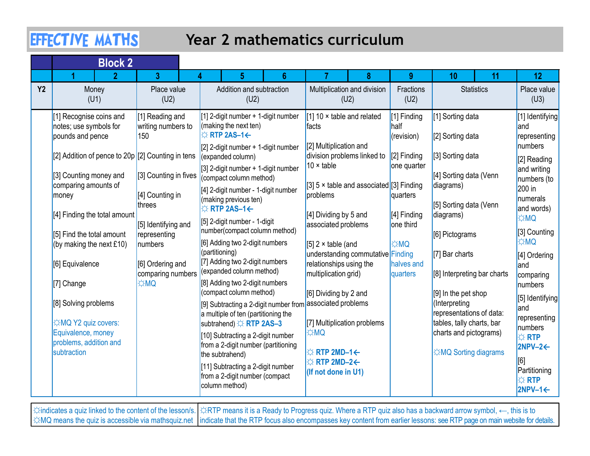# Year 2 mathematics curriculum

|           | <b>EFFECTIVE MATHS</b>                                                |                                                      | Year 2 mathematics curriculum                                                                                                    |                                                                                      |                                                                                                        |                                                                                 |                                                      |
|-----------|-----------------------------------------------------------------------|------------------------------------------------------|----------------------------------------------------------------------------------------------------------------------------------|--------------------------------------------------------------------------------------|--------------------------------------------------------------------------------------------------------|---------------------------------------------------------------------------------|------------------------------------------------------|
|           | <b>Block 2</b><br>G                                                   | 2                                                    |                                                                                                                                  |                                                                                      | $\mathbf{Q}$                                                                                           | 10<br>11                                                                        | 12 <sub>2</sub>                                      |
| <b>Y2</b> | Money<br>(U1)                                                         | Place value<br>(U2)                                  | Addition and subtraction<br>(U2)                                                                                                 | Multiplication and division<br>(U2)                                                  | Fractions<br>(U2)                                                                                      | <b>Statistics</b>                                                               | Place value<br>(U3)                                  |
|           | [1] Recognise coins and<br>notes; use symbols for<br>pounds and pence | [1] Reading and<br>writing numbers to<br>150         | [1] 2-digit number + 1-digit number<br>(making the next ten)<br>$\Leftrightarrow$ RTP 2AS-1 $\leftarrow$                         | 1] 10 $\times$ table and related<br>facts                                            | [1] Finding<br>half<br>(revision)                                                                      | [1] Sorting data<br>[2] Sorting data                                            | [1] Identifying<br>land<br>representing              |
|           | [2] Addition of pence to 20p [2] Counting in tens                     |                                                      | $[2]$ 2-digit number + 1-digit number<br>(cxpanded column)                                                                       | [2] Multiplication and<br>division problems linked to<br>10 $\times$ table           | $ 2 $ Finding<br>one quarter                                                                           | [3] Sorting data                                                                | numbers<br>[2] Reading                               |
|           | [3] Counting money and<br>comparing amounts of<br>money               | [3] Counting in fives  <br>[4] Counting in<br>threes | $[3]$ 2-digit number + 1-digit number<br>(compact column method)<br>[4] 2-digit number - 1-digit number<br>(making previous ten) | [3] 5 $\times$ table and associated [3] Finding<br>problems                          | quarters                                                                                               | [4] Sorting data (Venn<br>diagrams)<br>[5] Sorting data (Venn                   | and writing<br>numbers (to<br>200 in<br>numerals     |
|           | [4] Finding the total amount                                          | [5] Identifying and                                  | $\Leftrightarrow$ RTP 2AS-1 $\leftarrow$<br>[5] 2-digit number - 1-digit<br>number(compact column method)                        | [4] Dividing by 5 and<br>associated problems                                         | $\begin{bmatrix} 4 \end{bmatrix}$ Finding $\begin{bmatrix} \text{diagrams} \end{bmatrix}$<br>one third |                                                                                 | and words)<br><b>OMC</b><br>[3] Counting             |
|           | [5] Find the total amount<br>(by making the next £10)                 | representing<br>numbers                              | [6] Adding two 2-digit numbers<br>(partitioning)                                                                                 | [5] $2 \times$ table (and<br>understanding commutative Finding                       | <b>DMC</b>                                                                                             | [6] Pictograms<br>$[7]$ Bar charts                                              | <b>QMQ</b><br>[4] Ordering                           |
|           | [6] Equivalence                                                       | [6] Ordering and<br><b>OM</b>                        | [7] Adding two 2-digit numbers<br>comparing numbers (expanded column method)<br>[8] Adding two 2-digit numbers                   | relationships using the<br>multiplication grid)                                      | halves and<br>quarters                                                                                 | [8] Interpreting bar charts                                                     | land<br>comparing                                    |
|           | [7] Change<br>[8] Solving problems                                    |                                                      | (compact column method)<br>[9] Subtracting a 2-digit number from associated problems                                             | [6] Dividing by 2 and                                                                |                                                                                                        | [9] In the pet shop<br>(Interpreting                                            | numbers<br>[5] Identifying<br>and                    |
|           | ☆MQ Y2 quiz covers:<br>Equivalence, money                             |                                                      | a multiple of ten (partitioning the<br>subtrahend) ☆ RTP 2AS-3                                                                   | [7] Multiplication problems<br>☆MQ                                                   |                                                                                                        | representations of data:<br>tables, tally charts, bar<br>charts and pictograms) | representing<br>numbers                              |
|           | problems, addition and<br>subtraction                                 |                                                      | [10] Subtracting a 2-digit number<br>from a 2-digit number (partitioning<br>the subtrahend)                                      | $\Leftrightarrow$ RTP 2MD-1 $\leftarrow$<br>$\Leftrightarrow$ RTP 2MD-2 $\leftarrow$ |                                                                                                        | ☆MQ Sorting diagrams                                                            | $\Leftrightarrow$ RTP<br>$ 2NPV-2 \leftarrow$<br>[6] |
|           |                                                                       |                                                      | [11] Subtracting a 2-digit number<br>from a 2-digit number (compact<br>column method)                                            | (If not done in U1)                                                                  |                                                                                                        |                                                                                 | Partitioning<br>$\Leftrightarrow$ RTP                |

| , ☆indicates a quiz linked to the content of the lesson/s.   ☆RTP means it is a Ready to Progress quiz. Where a RTP quiz also has a backward arrow symbol, ←, this is to     |  |
|------------------------------------------------------------------------------------------------------------------------------------------------------------------------------|--|
| ☆MQ means the quiz is accessible via mathsquiz.net  indicate that the RTP focus also encompasses key content from earlier lessons: see RTP page on main website for details. |  |